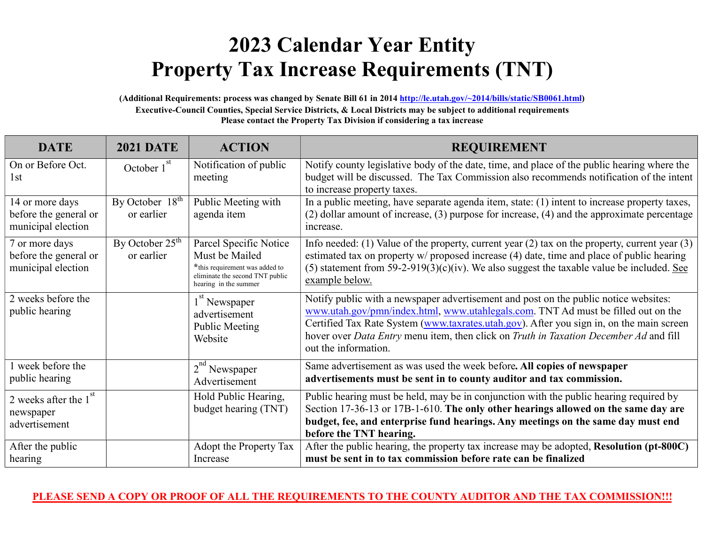## 2023 Calendar Year Entity Property Tax Increase Requirements (TNT)

(Additional Requirements: process was changed by Senate Bill 61 in 2014 http://le.utah.gov/~2014/bills/static/SB0061.html) Executive-Council Counties, Special Service Districts, & Local Districts may be subject to additional requirements Please contact the Property Tax Division if considering a tax increase

| <b>DATE</b>                                                    | <b>2021 DATE</b>                | <b>ACTION</b>                                                                                                                          | <b>REQUIREMENT</b>                                                                                                                                                                                                                                                                                                                                                                     |  |  |
|----------------------------------------------------------------|---------------------------------|----------------------------------------------------------------------------------------------------------------------------------------|----------------------------------------------------------------------------------------------------------------------------------------------------------------------------------------------------------------------------------------------------------------------------------------------------------------------------------------------------------------------------------------|--|--|
| On or Before Oct.<br>1st                                       | October $1st$                   | Notification of public<br>meeting                                                                                                      | Notify county legislative body of the date, time, and place of the public hearing where the<br>budget will be discussed. The Tax Commission also recommends notification of the intent<br>to increase property taxes.                                                                                                                                                                  |  |  |
| 14 or more days<br>before the general or<br>municipal election | By October $18th$<br>or earlier | Public Meeting with<br>agenda item                                                                                                     | In a public meeting, have separate agenda item, state: (1) intent to increase property taxes,<br>$(2)$ dollar amount of increase, $(3)$ purpose for increase, $(4)$ and the approximate percentage<br>increase.                                                                                                                                                                        |  |  |
| 7 or more days<br>before the general or<br>municipal election  | By October $25th$<br>or earlier | Parcel Specific Notice<br>Must be Mailed<br>*this requirement was added to<br>eliminate the second TNT public<br>hearing in the summer | Info needed: (1) Value of the property, current year $(2)$ tax on the property, current year $(3)$<br>estimated tax on property w/ proposed increase (4) date, time and place of public hearing<br>(5) statement from 59-2-919(3)(c)(iv). We also suggest the taxable value be included. See<br>example below.                                                                         |  |  |
| 2 weeks before the<br>public hearing                           |                                 | 1 <sup>st</sup> Newspaper<br>advertisement<br>Public Meeting<br>Website                                                                | Notify public with a newspaper advertisement and post on the public notice websites:<br>www.utah.gov/pmn/index.html, www.utahlegals.com. TNT Ad must be filled out on the<br>Certified Tax Rate System (www.taxrates.utah.gov). After you sign in, on the main screen<br>hover over Data Entry menu item, then click on Truth in Taxation December Ad and fill<br>out the information. |  |  |
| 1 week before the<br>public hearing                            |                                 | "Newspaper<br>Advertisement                                                                                                            | Same advertisement as was used the week before. All copies of newspaper<br>advertisements must be sent in to county auditor and tax commission.                                                                                                                                                                                                                                        |  |  |
| 2 weeks after the 1<br>newspaper<br>advertisement              |                                 | Hold Public Hearing,<br>budget hearing (TNT)                                                                                           | Public hearing must be held, may be in conjunction with the public hearing required by<br>Section 17-36-13 or 17B-1-610. The only other hearings allowed on the same day are<br>budget, fee, and enterprise fund hearings. Any meetings on the same day must end<br>before the TNT hearing.                                                                                            |  |  |
| After the public<br>hearing                                    |                                 | Adopt the Property Tax<br>Increase                                                                                                     | After the public hearing, the property tax increase may be adopted, Resolution (pt-800C)<br>must be sent in to tax commission before rate can be finalized                                                                                                                                                                                                                             |  |  |

## PLEASE SEND A COPY OR PROOF OF ALL THE REQUIREMENTS TO THE COUNTY AUDITOR AND THE TAX COMMISSION!!!